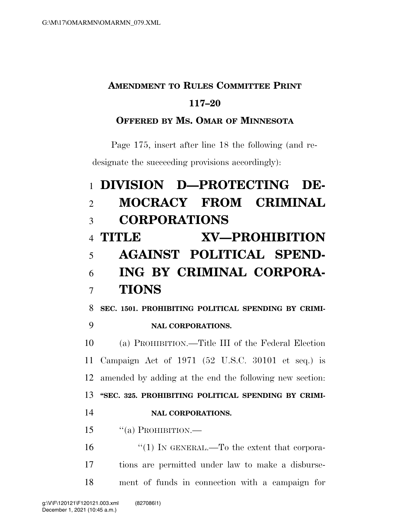## **AMENDMENT TO RULES COMMITTEE PRINT 117–20**

## **OFFERED BY MS. OMAR OF MINNESOTA**

Page 175, insert after line 18 the following (and redesignate the succeeding provisions accordingly):

## **DIVISION D—PROTECTING DE- MOCRACY FROM CRIMINAL CORPORATIONS TITLE XV—PROHIBITION AGAINST POLITICAL SPEND- ING BY CRIMINAL CORPORA-TIONS**

**SEC. 1501. PROHIBITING POLITICAL SPENDING BY CRIMI-**

## **NAL CORPORATIONS.**

 (a) PROHIBITION.—Title III of the Federal Election Campaign Act of 1971 (52 U.S.C. 30101 et seq.) is amended by adding at the end the following new section: **''SEC. 325. PROHIBITING POLITICAL SPENDING BY CRIMI-NAL CORPORATIONS.** 

''(a) PROHIBITION.—

16  $\frac{1}{1}$  IN GENERAL.—To the extent that corpora- tions are permitted under law to make a disburse-ment of funds in connection with a campaign for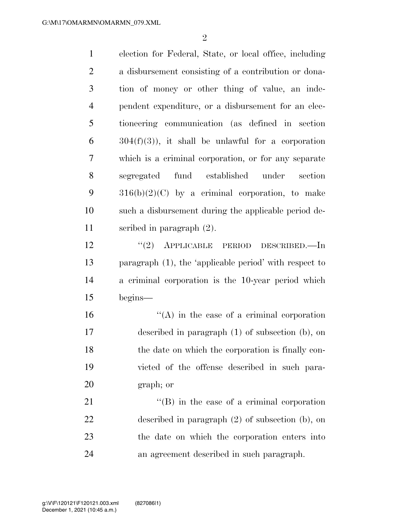$\mathfrak{D}$ 

 election for Federal, State, or local office, including a disbursement consisting of a contribution or dona- tion of money or other thing of value, an inde- pendent expenditure, or a disbursement for an elec- tioneering communication (as defined in section  $6 \qquad \text{304(f)(3)}$ , it shall be unlawful for a corporation which is a criminal corporation, or for any separate segregated fund established under section  $316(b)(2)(C)$  by a criminal corporation, to make such a disbursement during the applicable period de- scribed in paragraph (2). ''(2) APPLICABLE PERIOD DESCRIBED.—In paragraph (1), the 'applicable period' with respect to a criminal corporation is the 10-year period which begins— "(A) in the case of a criminal corporation described in paragraph (1) of subsection (b), on the date on which the corporation is finally con- victed of the offense described in such para- graph; or 21 ''(B) in the case of a criminal corporation described in paragraph (2) of subsection (b), on

 the date on which the corporation enters into an agreement described in such paragraph.